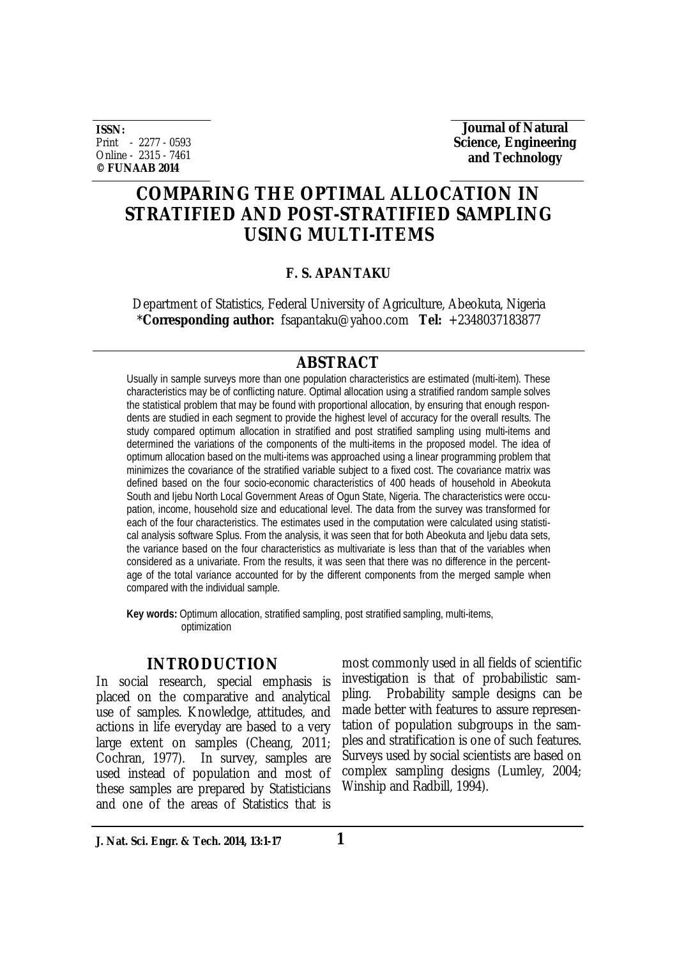**ISSN:** Print - 2277 - 0593 Online - 2315 - 7461 **© FUNAAB 2014**

**Journal of Natural Science, Engineering and Technology** 

# **COMPARING THE OPTIMAL ALLOCATION IN STRATIFIED AND POST-STRATIFIED SAMPLING USING MULTI-ITEMS**

# **F. S. APANTAKU**

Department of Statistics, Federal University of Agriculture, Abeokuta, Nigeria \***Corresponding author:** fsapantaku@yahoo.com **Tel:** +2348037183877

## **ABSTRACT**

Usually in sample surveys more than one population characteristics are estimated (multi-item). These characteristics may be of conflicting nature. Optimal allocation using a stratified random sample solves the statistical problem that may be found with proportional allocation, by ensuring that enough respondents are studied in each segment to provide the highest level of accuracy for the overall results. The study compared optimum allocation in stratified and post stratified sampling using multi-items and determined the variations of the components of the multi-items in the proposed model. The idea of optimum allocation based on the multi-items was approached using a linear programming problem that minimizes the covariance of the stratified variable subject to a fixed cost. The covariance matrix was defined based on the four socio-economic characteristics of 400 heads of household in Abeokuta South and Ijebu North Local Government Areas of Ogun State, Nigeria. The characteristics were occupation, income, household size and educational level. The data from the survey was transformed for each of the four characteristics. The estimates used in the computation were calculated using statistical analysis software Splus. From the analysis, it was seen that for both Abeokuta and Ijebu data sets, the variance based on the four characteristics as multivariate is less than that of the variables when considered as a univariate. From the results, it was seen that there was no difference in the percentage of the total variance accounted for by the different components from the merged sample when compared with the individual sample.

**Key words:** Optimum allocation, stratified sampling, post stratified sampling, multi-items, optimization

# **INTRODUCTION**

In social research, special emphasis is placed on the comparative and analytical use of samples. Knowledge, attitudes, and actions in life everyday are based to a very large extent on samples (Cheang, 2011; Cochran, 1977). In survey, samples are used instead of population and most of these samples are prepared by Statisticians and one of the areas of Statistics that is

most commonly used in all fields of scientific investigation is that of probabilistic sampling. Probability sample designs can be made better with features to assure representation of population subgroups in the samples and stratification is one of such features. Surveys used by social scientists are based on complex sampling designs (Lumley, 2004; Winship and Radbill, 1994).

**J. Nat. Sci. Engr. & Tech. 2014, 13:1-17 1**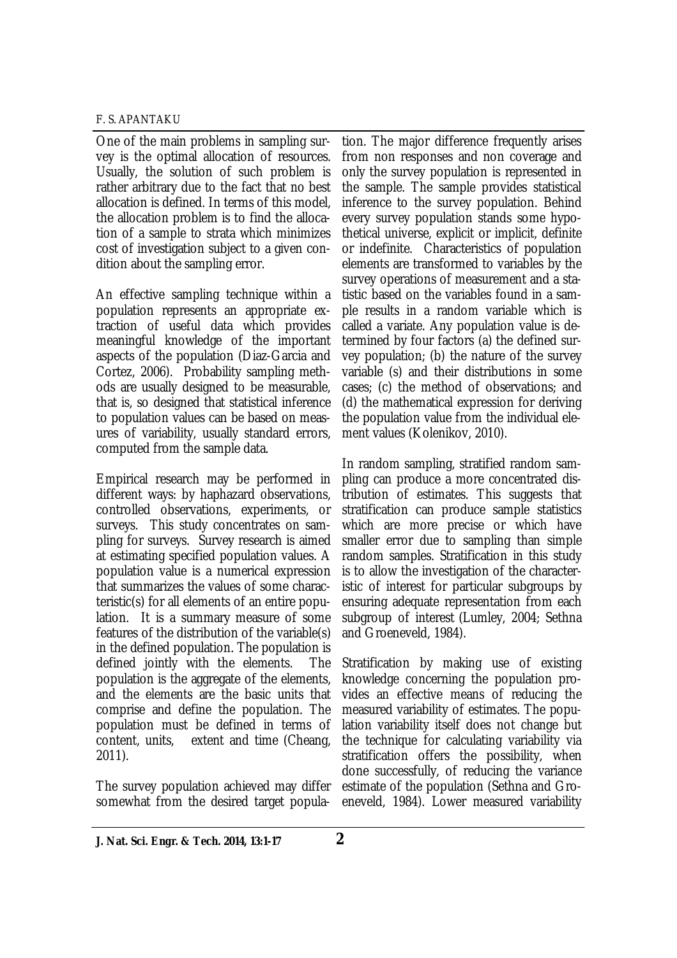One of the main problems in sampling survey is the optimal allocation of resources. Usually, the solution of such problem is rather arbitrary due to the fact that no best allocation is defined. In terms of this model, the allocation problem is to find the allocation of a sample to strata which minimizes cost of investigation subject to a given condition about the sampling error.

An effective sampling technique within a population represents an appropriate extraction of useful data which provides meaningful knowledge of the important aspects of the population (Diaz-Garcia and Cortez, 2006). Probability sampling methods are usually designed to be measurable, that is, so designed that statistical inference to population values can be based on measures of variability, usually standard errors, computed from the sample data.

Empirical research may be performed in different ways: by haphazard observations, controlled observations, experiments, or surveys. This study concentrates on sampling for surveys. Survey research is aimed at estimating specified population values. A population value is a numerical expression that summarizes the values of some characteristic(s) for all elements of an entire population. It is a summary measure of some features of the distribution of the variable(s) in the defined population. The population is defined jointly with the elements. The population is the aggregate of the elements, and the elements are the basic units that comprise and define the population. The population must be defined in terms of content, units, extent and time (Cheang, 2011).

The survey population achieved may differ somewhat from the desired target population. The major difference frequently arises from non responses and non coverage and only the survey population is represented in the sample. The sample provides statistical inference to the survey population. Behind every survey population stands some hypothetical universe, explicit or implicit, definite or indefinite. Characteristics of population elements are transformed to variables by the survey operations of measurement and a statistic based on the variables found in a sample results in a random variable which is called a variate. Any population value is determined by four factors (a) the defined survey population; (b) the nature of the survey variable (s) and their distributions in some cases; (c) the method of observations; and (d) the mathematical expression for deriving the population value from the individual element values (Kolenikov, 2010).

In random sampling, stratified random sampling can produce a more concentrated distribution of estimates. This suggests that stratification can produce sample statistics which are more precise or which have smaller error due to sampling than simple random samples. Stratification in this study is to allow the investigation of the characteristic of interest for particular subgroups by ensuring adequate representation from each subgroup of interest (Lumley, 2004; Sethna and Groeneveld, 1984).

Stratification by making use of existing knowledge concerning the population provides an effective means of reducing the measured variability of estimates. The population variability itself does not change but the technique for calculating variability via stratification offers the possibility, when done successfully, of reducing the variance estimate of the population (Sethna and Groeneveld, 1984). Lower measured variability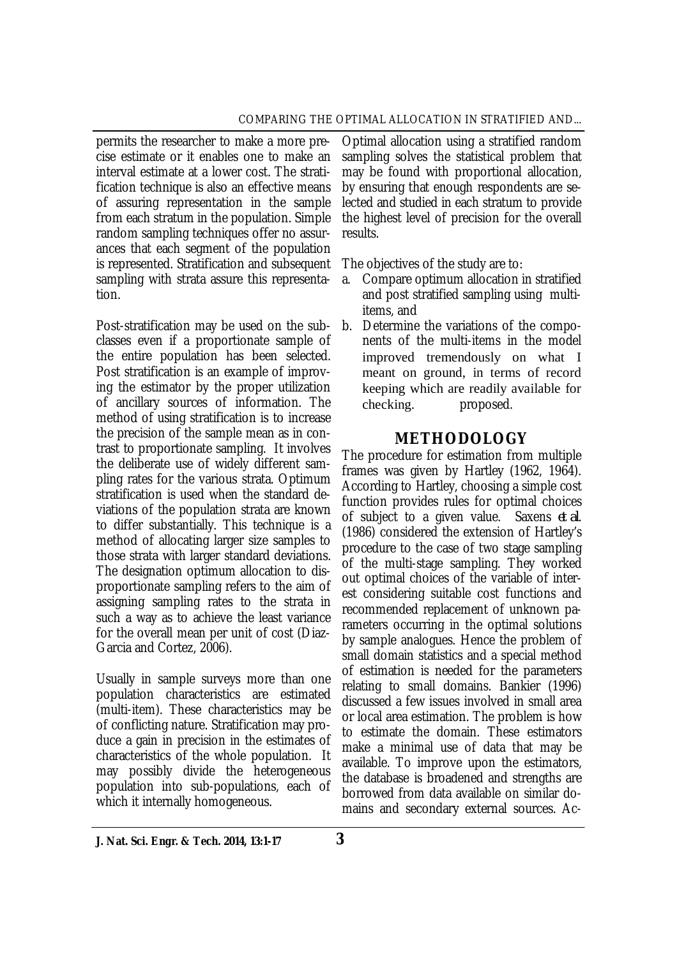permits the researcher to make a more precise estimate or it enables one to make an interval estimate at a lower cost. The stratification technique is also an effective means of assuring representation in the sample from each stratum in the population. Simple random sampling techniques offer no assurances that each segment of the population is represented. Stratification and subsequent sampling with strata assure this representation.

Post-stratification may be used on the subclasses even if a proportionate sample of the entire population has been selected. Post stratification is an example of improving the estimator by the proper utilization of ancillary sources of information. The method of using stratification is to increase the precision of the sample mean as in contrast to proportionate sampling. It involves the deliberate use of widely different sampling rates for the various strata. Optimum stratification is used when the standard deviations of the population strata are known to differ substantially. This technique is a method of allocating larger size samples to those strata with larger standard deviations. The designation optimum allocation to disproportionate sampling refers to the aim of assigning sampling rates to the strata in such a way as to achieve the least variance for the overall mean per unit of cost (Diaz-Garcia and Cortez, 2006).

Usually in sample surveys more than one population characteristics are estimated (multi-item). These characteristics may be of conflicting nature. Stratification may produce a gain in precision in the estimates of characteristics of the whole population. It may possibly divide the heterogeneous population into sub-populations, each of which it internally homogeneous.

Optimal allocation using a stratified random sampling solves the statistical problem that may be found with proportional allocation, by ensuring that enough respondents are selected and studied in each stratum to provide the highest level of precision for the overall results.

The objectives of the study are to:

- a. Compare optimum allocation in stratified and post stratified sampling using multiitems, and
- b. Determine the variations of the components of the multi-items in the model improved tremendously on what I meant on ground, in terms of record keeping which are readily available for checking. proposed.

# **METHODOLOGY**

The procedure for estimation from multiple frames was given by Hartley (1962, 1964). According to Hartley, choosing a simple cost function provides rules for optimal choices of subject to a given value. Saxens *et al*. (1986) considered the extension of Hartley's procedure to the case of two stage sampling of the multi-stage sampling. They worked out optimal choices of the variable of interest considering suitable cost functions and recommended replacement of unknown parameters occurring in the optimal solutions by sample analogues. Hence the problem of small domain statistics and a special method of estimation is needed for the parameters relating to small domains. Bankier (1996) discussed a few issues involved in small area or local area estimation. The problem is how to estimate the domain. These estimators make a minimal use of data that may be available. To improve upon the estimators, the database is broadened and strengths are borrowed from data available on similar domains and secondary external sources. Ac-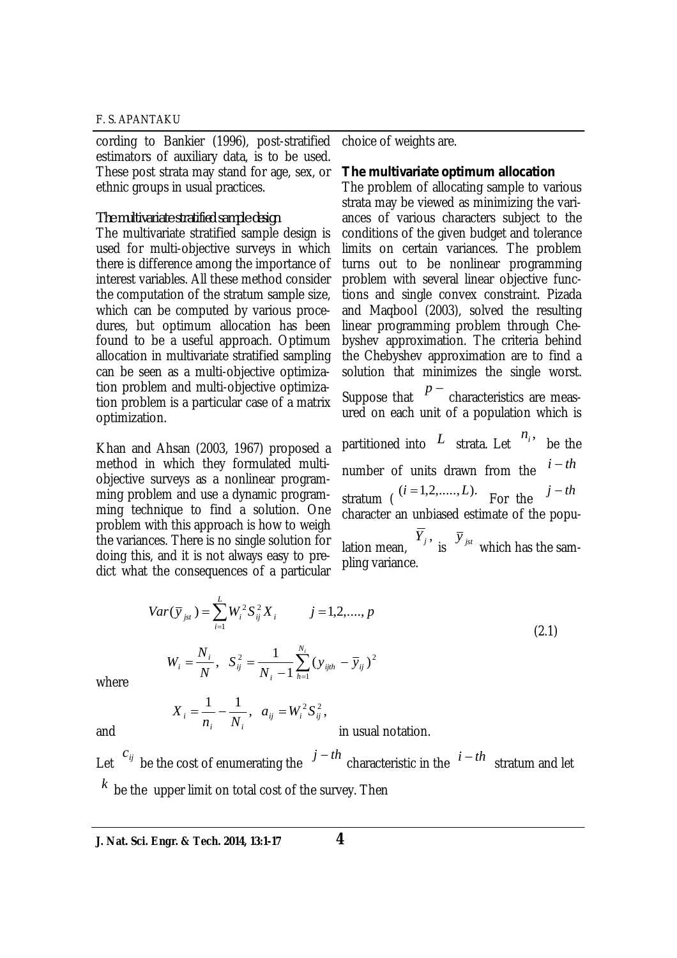cording to Bankier (1996), post-stratified estimators of auxiliary data, is to be used. These post strata may stand for age, sex, or ethnic groups in usual practices.

#### *The multivariate stratified sample design*

The multivariate stratified sample design is used for multi-objective surveys in which there is difference among the importance of interest variables. All these method consider the computation of the stratum sample size, which can be computed by various procedures, but optimum allocation has been found to be a useful approach. Optimum allocation in multivariate stratified sampling can be seen as a multi-objective optimization problem and multi-objective optimization problem is a particular case of a matrix optimization.

Khan and Ahsan (2003, 1967) proposed a method in which they formulated multiobjective surveys as a nonlinear programming problem and use a dynamic programming technique to find a solution. One problem with this approach is how to weigh the variances. There is no single solution for doing this, and it is not always easy to predict what the consequences of a particular

choice of weights are.

#### *The multivariate optimum allocation*

The problem of allocating sample to various strata may be viewed as minimizing the variances of various characters subject to the conditions of the given budget and tolerance limits on certain variances. The problem turns out to be nonlinear programming problem with several linear objective functions and single convex constraint. Pizada and Maqbool (2003), solved the resulting linear programming problem through Chebyshev approximation. The criteria behind the Chebyshev approximation are to find a solution that minimizes the single worst. *p*

Suppose that  $f^{\prime}$  characteristics are measured on each unit of a population which is

partitioned into 
$$
L
$$
 strata. Let  $n_i$ , be the number of units drawn from the  
stratum ( $(i = 1, 2, \ldots, L)$ ). For the  $j-th$  character an unbiased estimate of the popu-  
lation mean,  $\overline{Y}_j$ , is  $\overline{y}_{jst}$  which has the sam-  
pling variance.

$$
Var(\bar{y}_{jst}) = \sum_{i=1}^{L} W_i^2 S_{ij}^2 X_i \qquad j = 1, 2, ..., p
$$
  
\n
$$
W_i = \frac{N_i}{N}, \quad S_{ij}^2 = \frac{1}{N_i - 1} \sum_{h=1}^{N_i} (y_{ijth} - \bar{y}_{ij})^2
$$
\n(2.1)

where

and  $\frac{n_i}{n_i}$  in usual notation.  $\frac{1}{1} - \frac{1}{1}$ ,  $a_{ii} = W_i^2 S_{ii}^2$ ,  $ij = W_i \cup j_j$ *i i*  $a_i = \frac{1}{n_i} - \frac{1}{N_i}, \quad a_{ij} = W_i^2 S$  $X_i = \frac{1}{i} - \frac{1}{i}$ ,  $a_{ii} =$ 

Let  $\frac{c_{ij}}{ }$  be the cost of enumerating the  $j-th$  characteristic in the  $i-th$  stratum and let  $^k$  be the upper limit on total cost of the survey. Then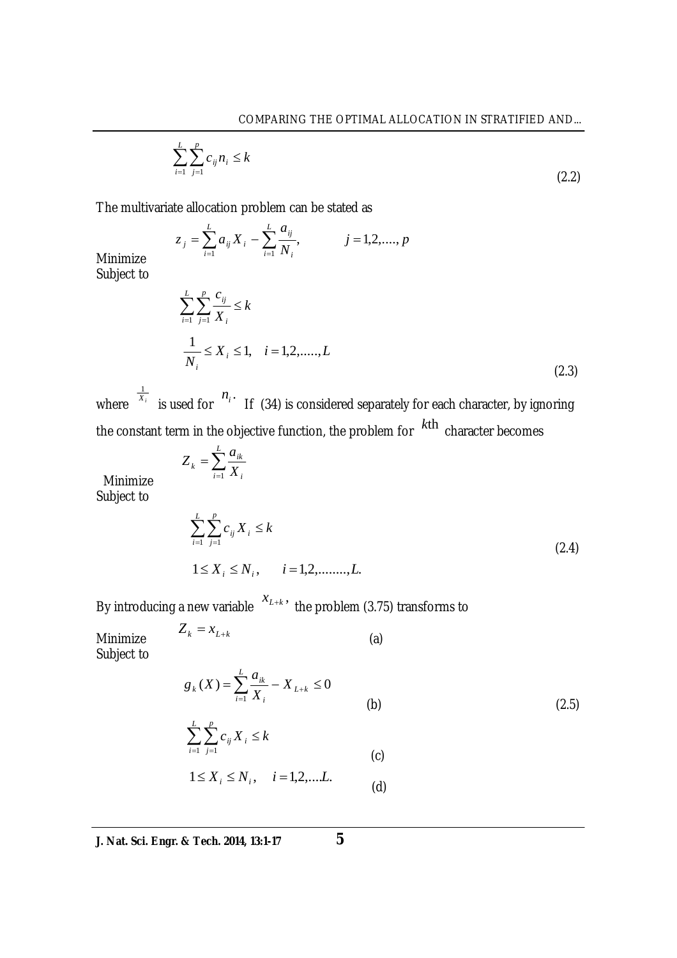$$
\sum_{i=1}^{L} \sum_{j=1}^{p} c_{ij} n_i \le k \tag{2.2}
$$

The multivariate allocation problem can be stated as

$$
z_{j} = \sum_{i=1}^{L} a_{ij} X_{i} - \sum_{i=1}^{L} \frac{a_{ij}}{N_{i}}, \qquad j = 1, 2, ..., p
$$
  
Subject to  

$$
\sum_{i=1}^{L} \sum_{j=1}^{p} \frac{c_{ij}}{X_{i}} \le k
$$

$$
\frac{1}{N_{i}} \le X_{i} \le 1, \quad i = 1, 2, ..., L
$$
(2.3)

where  $\frac{1}{X_i}$  is used for  $n_i$ . If (34) is considered separately for each character, by ignoring the constant term in the objective function, the problem for character becomes *k*th

$$
Z_{k} = \sum_{i=1}^{L} \frac{a_{ik}}{X_{i}}
$$
  
Subject to  

$$
\sum_{i=1}^{L} \sum_{j=1}^{p} c_{ij} X_{i} \le k
$$

$$
1 \le X_{i} \le N_{i}, \qquad i = 1, 2, \dots, L.
$$
 (2.4)

By introducing a new variable  $\left\lceil \frac{L+\kappa}{L} \right\rceil$  the problem (3.75) transforms to  $x_{L+k}$ 

Minimize  $Z_k - x_{L+k}$  (a) Subject to  $Z_k = x_{L+k}$ 

$$
g_{k}(X) = \sum_{i=1}^{L} \frac{a_{ik}}{X_{i}} - X_{L+k} \le 0
$$
\n
$$
\sum_{i=1}^{L} \sum_{j=1}^{p} c_{ij} X_{i} \le k
$$
\n
$$
1 \le X_{i} \le N_{i}, \quad i = 1, 2, \dots L.
$$
\n
$$
(d)
$$
\n(2.5)

**J. Nat. Sci. Engr. & Tech. 2014, 13:1-17** 

**5**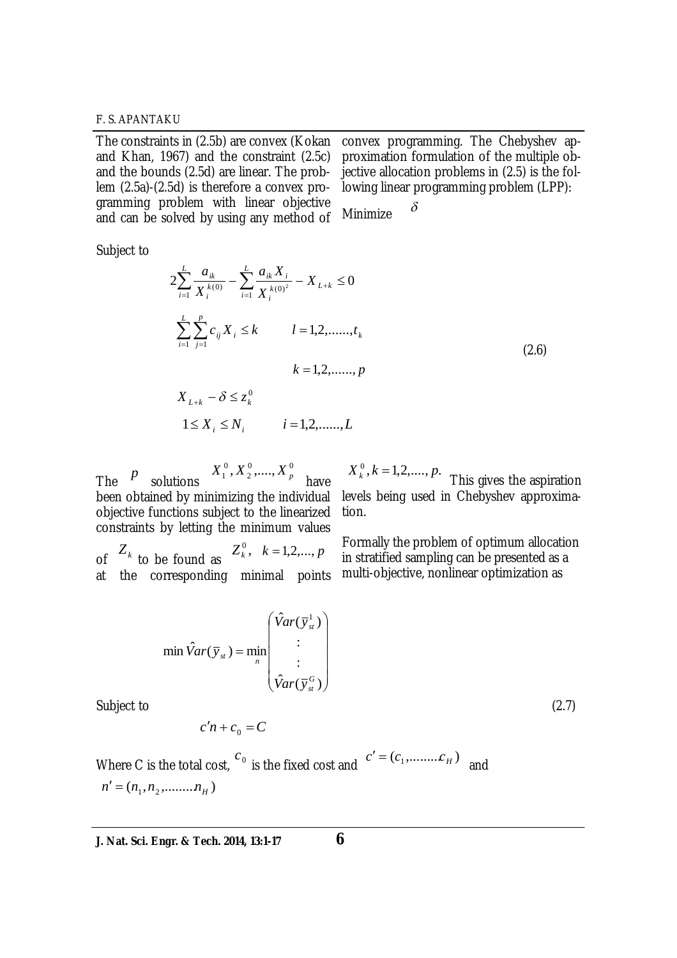The constraints in (2.5b) are convex (Kokan and Khan, 1967) and the constraint (2.5c) and the bounds (2.5d) are linear. The problem (2.5a)-(2.5d) is therefore a convex programming problem with linear objective and can be solved by using any method of convex programming. The Chebyshev approximation formulation of the multiple objective allocation problems in (2.5) is the following linear programming problem (LPP):

Minimize  $\delta$ 

Subject to

$$
2\sum_{i=1}^{L} \frac{a_{ik}}{X_i^{k(0)}} - \sum_{i=1}^{L} \frac{a_{ik} X_i}{X_i^{k(0)^2}} - X_{L+k} \le 0
$$
  

$$
\sum_{i=1}^{L} \sum_{j=1}^{p} c_{ij} X_i \le k \qquad l = 1, 2, \dots, t_k
$$
  

$$
k = 1, 2, \dots, p
$$
  

$$
X_{L+k} - \delta \le z_k^0
$$
  

$$
1 \le X_i \le N_i \qquad i = 1, 2, \dots, L
$$
 (2.6)

The  $\mathbb{P}$  solutions have the solutions been obtained by minimizing the individual objective functions subject to the linearized constraints by letting the minimum values *p*  $X_1^0, X_2^0, ..., X_p^0$ 2 0  $X_1^{\,0}, X_2^{\,0},\!...,X_p^{\,0}$ 

of  $Z_k$  to be found as  $Z_k^0$ ,  $k = 1, 2, ..., p$ 

This gives the aspiration levels being used in Chebyshev approximation.  $X_k^0, k = 1,2,..., p.$ 

at the corresponding minimal points Formally the problem of optimum allocation in stratified sampling can be presented as a multi-objective, nonlinear optimization as

$$
\min \hat{Var}(\bar{y}_{st}) = \min_{n} \begin{pmatrix} \hat{Var}(\bar{y}_{st}^{1}) \\ \vdots \\ \hat{Var}(\bar{y}_{st}^{G}) \end{pmatrix}
$$

Subject to Subject to (2.7)

$$
c'n + c_0 = C
$$

Where C is the total cost,  $c_0$  is the fixed cost and  $c' = (c_1, \ldots, c_H)$  and  $n' = (n_1, n_2, \dots, n_H)$ 

**J. Nat. Sci. Engr. & Tech. 2014, 13:1-17**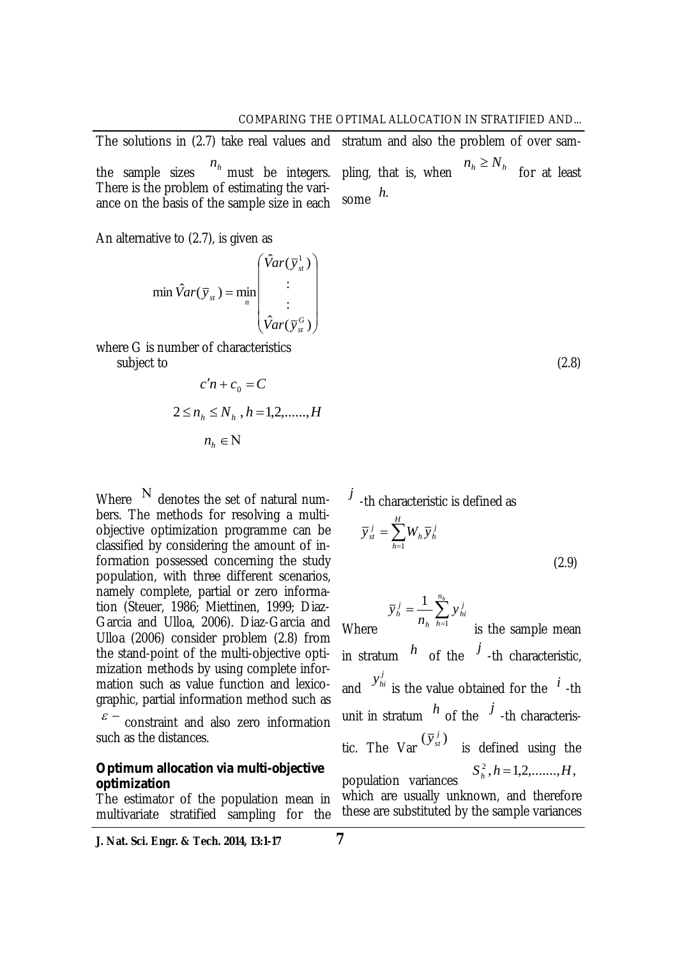The solutions in (2.7) take real values and stratum and also the problem of over samthe sample sizes  $n_h$  must be integers. pling, that is, when  $n_h \ge N_h$  for at least There is the problem of estimating the variance on the basis of the sample size in each some *h*.

An alternative to (2.7), is given as

$$
\min \hat{Var}(\bar{y}_{st}) = \min_{n} \begin{pmatrix} \hat{V}ar(\bar{y}_{st}^{1}) \\ \vdots \\ \hat{V}ar(\bar{y}_{st}^{G}) \end{pmatrix}
$$

where G is number of characteristics subject to (2.8)

$$
c'n + c_0 = C
$$
  

$$
2 \le n_h \le N_h, h = 1, 2, \dots, H
$$
  

$$
n_h \in \mathbb{N}
$$

Where  $\left\vert \mathrm{N}\right\rangle$  denotes the set of natural numbers. The methods for resolving a multiobjective optimization programme can be classified by considering the amount of information possessed concerning the study population, with three different scenarios, namely complete, partial or zero information (Steuer, 1986; Miettinen, 1999; Diaz-Garcia and Ulloa, 2006). Diaz-Garcia and Ulloa (2006) consider problem (2.8) from the stand-point of the multi-objective optimization methods by using complete information such as value function and lexicographic, partial information method such as

 $\varepsilon$  - constraint and also zero information such as the distances.

### *Optimum allocation via multi-objective optimization*

The estimator of the population mean in multivariate stratified sampling for the

**J. Nat. Sci. Engr. & Tech. 2014, 13:1-17** 

-th characteristic is defined as *j*

$$
\overline{y}_{st}^j = \sum_{h=1}^H W_h \overline{y}_h^j \tag{2.9}
$$

Where  $\cdots$ <sup>*n*-n=1</sup> is the sample mean in stratum  $h$  of the  $j$  -th characteristic, and  $\mathbb{Z}^m$  is the value obtained for the  $\mathbb{Z}$ -th unit in stratum  $\overline{h}$  of the  $\overline{f}$  -th characteristic. The  $Var \sim \mathbb{S}$  is defined using the population variances which are usually unknown, and therefore these are substituted by the sample variances  $=$  $\frac{1}{n_{h}}\sum_{h=1}$ *nh h j hi h j*  $\sum_{h}^{j} = \frac{1}{\sqrt{2}} \sum_{h} y$ *n y* 1 1  $y_{hi}^j$  is the value obtained for the  $\overline{\textit{i}}$  $(\bar{\mathrm{y}}_{\scriptscriptstyle st}^{\,j})$  $S_h^2$ ,  $h = 1,2,......,H$ ,

**7**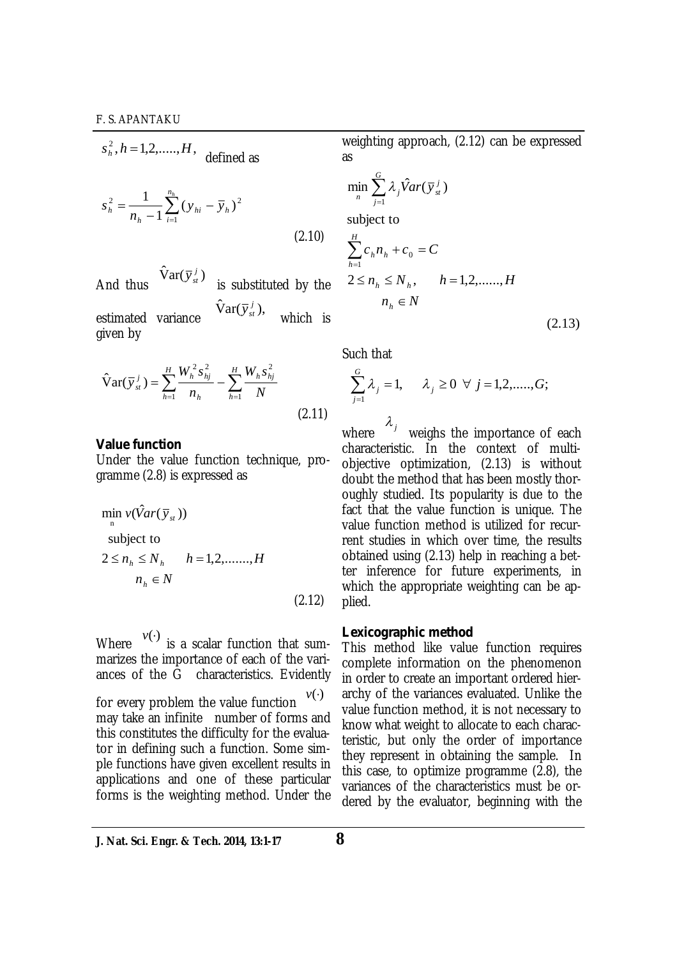$$
s_h^2, h = 1, 2, \dots, H,
$$
 defined as

$$
s_h^2 = \frac{1}{n_h - 1} \sum_{i=1}^{n_h} (y_{hi} - \overline{y}_h)^2
$$
 (2.10)

And thus  $\int$   $\frac{\tan(y_{st})}{\tan(y_{st})}$  is substituted by the estimated variance  $\frac{\text{var}(y_{st})}{\text{var}(y_{st})}$  which is given by  $\hat{\mathrm{Var}}(\bar{\mathrm{y}}_{\mathrm{st}}^j)$  $\hat{\mathrm{Var}}(\bar{\mathrm{y}}_{\mathrm{st}}^j)$ ,

$$
\hat{\mathbf{V}}\text{ar}(\overline{\mathbf{y}}_{st}^{j}) = \sum_{h=1}^{H} \frac{W_{h}^{2} s_{hj}^{2}}{n_{h}} - \sum_{h=1}^{H} \frac{W_{h} s_{hj}^{2}}{N}
$$
\n(2.11)

#### *Value function*

Under the value function technique, programme (2.8) is expressed as

$$
\min_{n} v(\hat{Var}(\bar{y}_{st}))
$$
\nsubject to\n
$$
2 \le n_h \le N_h \qquad h = 1, 2, \dots, H
$$
\n
$$
n_h \in N
$$
\n(2.12)

Where  $\left(1, 1\right)$  is a scalar function that summarizes the importance of each of the variances of the G characteristics. Evidently *v*(·)

for every problem the value function may take an infinite number of forms and this constitutes the difficulty for the evaluator in defining such a function. Some simple functions have given excellent results in applications and one of these particular forms is the weighting method. Under the *v*()

*j*  $\lim_{n}$   $\sum_{j=1}$   $\lambda_j$ subject to 1

*st*

 $\hat{Var}(\bar{y}_{si}^{\ j}$ 

$$
\sum_{h=1}^{H} c_h n_h + c_0 = C
$$
  
2 \le n\_h \le N\_h, \t h = 1,2,......,H  

$$
n_h \in N
$$
 (2.13)

weighting approach, (2.12) can be expressed

Such that

as

*G*

 $\min \sum \lambda_i \hat{V}ar(\bar{y}_{st}^j)$ 

λ

$$
\sum_{j=1}^{G} \lambda_j = 1, \quad \lambda_j \ge 0 \ \forall \ j = 1, 2, \dots, G;
$$

where  $\rightarrow$  weighs the importance of each characteristic. In the context of multiobjective optimization, (2.13) is without doubt the method that has been mostly thoroughly studied. Its popularity is due to the fact that the value function is unique. The value function method is utilized for recurrent studies in which over time, the results obtained using (2.13) help in reaching a better inference for future experiments, in which the appropriate weighting can be applied.  $\lambda_{_j}$ 

#### *Lexicographic method*

This method like value function requires complete information on the phenomenon in order to create an important ordered hierarchy of the variances evaluated. Unlike the value function method, it is not necessary to know what weight to allocate to each characteristic, but only the order of importance they represent in obtaining the sample. In this case, to optimize programme (2.8), the variances of the characteristics must be ordered by the evaluator, beginning with the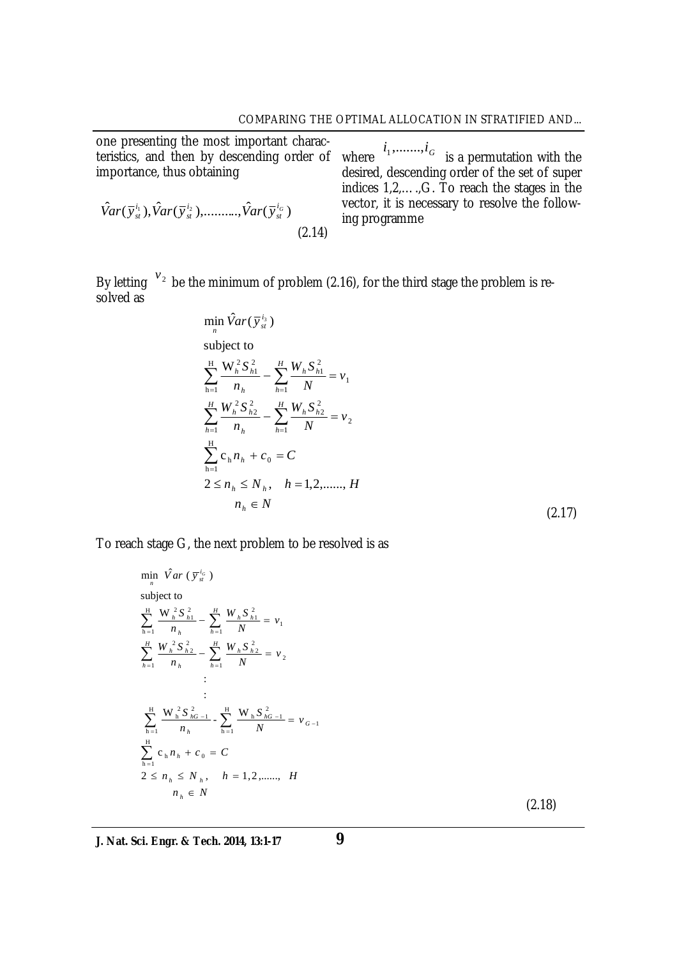| one presenting the most important charac-                                                                           |                                                                                                                                           |
|---------------------------------------------------------------------------------------------------------------------|-------------------------------------------------------------------------------------------------------------------------------------------|
|                                                                                                                     | one presenting the most important character $i_1, \ldots, i_G$ is a permutation with the teristics, and then by descending order of where |
| importance, thus obtaining                                                                                          | desired, descending order of the set of super                                                                                             |
| $\hat{Var}(\overline{y}_{st}^{i_1}), \hat{Var}(\overline{y}_{st}^{i_2}), \dots, \hat{Var}(\overline{y}_{st}^{i_G})$ | indices 1,2,,G. To reach the stages in the<br>vector, it is necessary to resolve the follow-<br>ing programme                             |
| (2.14)                                                                                                              |                                                                                                                                           |

By letting  $\mathbb{Z}^2$  be the minimum of problem (2.16), for the third stage the problem is resolved as  $v_{2}$ 

$$
\min_{n} \hat{V}ar(\bar{y}_{st}^{i_3})
$$
\nsubject to\n
$$
\sum_{h=1}^{H} \frac{W_{h}^{2} S_{h1}^{2}}{n_{h}} - \sum_{h=1}^{H} \frac{W_{h} S_{h1}^{2}}{N} = v_{1}
$$
\n
$$
\sum_{h=1}^{H} \frac{W_{h}^{2} S_{h2}^{2}}{n_{h}} - \sum_{h=1}^{H} \frac{W_{h} S_{h2}^{2}}{N} = v_{2}
$$
\n
$$
\sum_{h=1}^{H} c_{h} n_{h} + c_{0} = C
$$
\n
$$
2 \le n_{h} \le N_{h}, \quad h = 1, 2, \dots, H
$$
\n
$$
n_{h} \in N
$$
\n(2.17)

To reach stage G, the next problem to be resolved is as

$$
\min_{n} \hat{Var}(\overline{y}_{st}^{i_{G}})
$$
\nsubject to\n
$$
\sum_{h=1}^{H} \frac{W_{h}^{2} S_{h1}^{2}}{n_{h}} - \sum_{h=1}^{H} \frac{W_{h} S_{h1}^{2}}{N} = v_{1}
$$
\n
$$
\sum_{h=1}^{H} \frac{W_{h}^{2} S_{h2}^{2}}{n_{h}} - \sum_{h=1}^{H} \frac{W_{h} S_{h2}^{2}}{N} = v_{2}
$$
\n
$$
\vdots
$$
\n
$$
\sum_{h=1}^{H} \frac{W_{h}^{2} S_{hG-1}^{2}}{n_{h}} - \sum_{h=1}^{H} \frac{W_{h} S_{hG-1}^{2}}{N} = v_{G-1}
$$
\n
$$
\sum_{h=1}^{H} C_{h} n_{h} + c_{0} = C
$$
\n
$$
2 \le n_{h} \le N_{h}, \quad h = 1, 2, \dots, H
$$
\n
$$
n_{h} \in N
$$

(2.18)

**J. Nat. Sci. Engr. & Tech. 2014, 13:1-17** 

**9**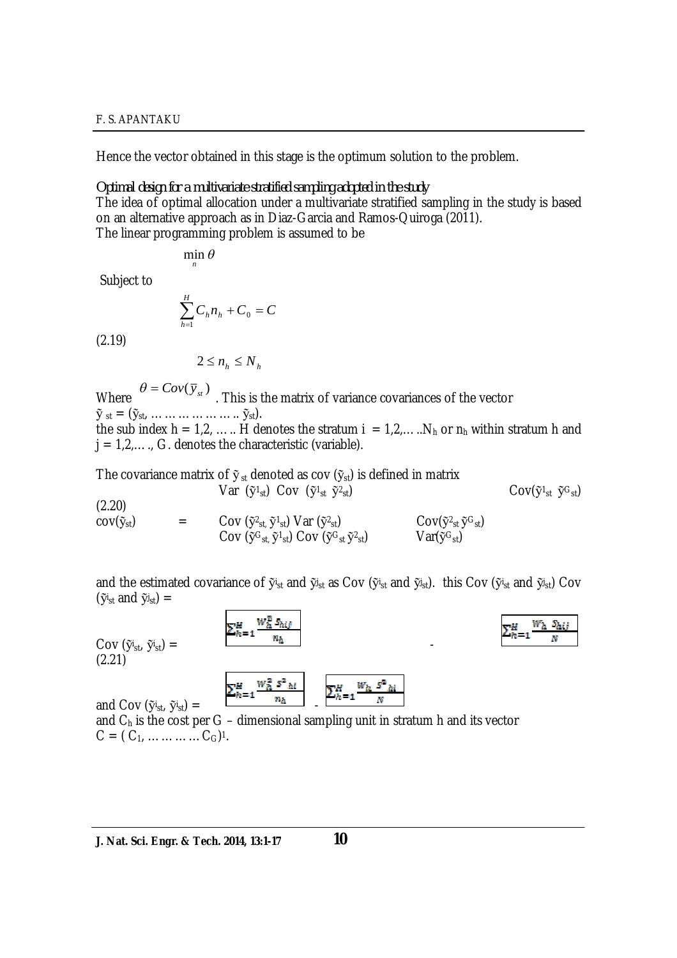Hence the vector obtained in this stage is the optimum solution to the problem.

#### *Optimal design for a multivariate stratified sampling adopted in the study*

The idea of optimal allocation under a multivariate stratified sampling in the study is based on an alternative approach as in Diaz-Garcia and Ramos-Quiroga (2011). The linear programming problem is assumed to be

min  $\theta$ *n*

Subject to

$$
\sum_{h=1}^H C_h n_h + C_0 = C
$$

 $\overline{a}$ (2.19)

$$
2 \le n_h \le N_h
$$

Where  $\frac{1}{2}$   $\frac{1}{2}$   $\frac{1}{2}$  . This is the matrix of variance covariances of the vector  $\tilde{y}_{st} = (\tilde{y}_{st}, \ldots, \ldots, \ldots, \tilde{y}_{st}).$ the sub index h = 1,2, ….. H denotes the stratum i =  $1,2,...N_h$  or  $n_h$  within stratum h and  $j = 1, 2, \ldots, G$ . denotes the characteristic (variable).  $\theta = Cov(\bar{y}_{st})$ 

The covariance matrix of  $\tilde{y}_{st}$  denoted as cov  $(\tilde{y}_{st})$  is defined in matrix

Var ( $\tilde{y}^1$ st) Cov ( $\tilde{y}^1$ st  $\tilde{y}^2$ st)  $Cov(\tilde{y}_{st} \tilde{y}_{st})$ (2.20)  $\textsf{cov}(\tilde{\textsf{y}}_{\textsf{st}})$  =  $\textsf{Cov} \left( \tilde{\textsf{y}}^2_{\textsf{st,}} \tilde{\textsf{y}}^1_{\textsf{st}} \right) \textsf{Var} \left( \tilde{\textsf{y}}^2 \right)$ st)  $Cov(\tilde{y}^2_{st} \tilde{y}^G_{st})$ Cov ( $\tilde{y}^{\text{G}}$ st,  $\tilde{y}^{\text{1}}$ st) Cov ( $\tilde{y}^{\text{G}}$ st  $\tilde{y}^{\text{2}}$  $Var(\tilde{v}G_{st})$ 

and the estimated covariance of  $\tilde{y}^i$ <sub>st</sub> and  $\tilde{y}^j$ <sub>st</sub> as Cov ( $\tilde{y}^i$ <sub>st</sub> and  $\tilde{y}^j$ <sub>st</sub>). this Cov ( $\tilde{y}^i$ <sub>st</sub> and  $\tilde{y}^j$ <sub>st</sub>) Cov  $(\tilde{y}_{st}$  and  $\tilde{y}_{st}) =$ 



and  $C_h$  is the cost per G – dimensional sampling unit in stratum h and its vector  $C = (C_1, \ldots, C_G)$ <sup>1</sup>.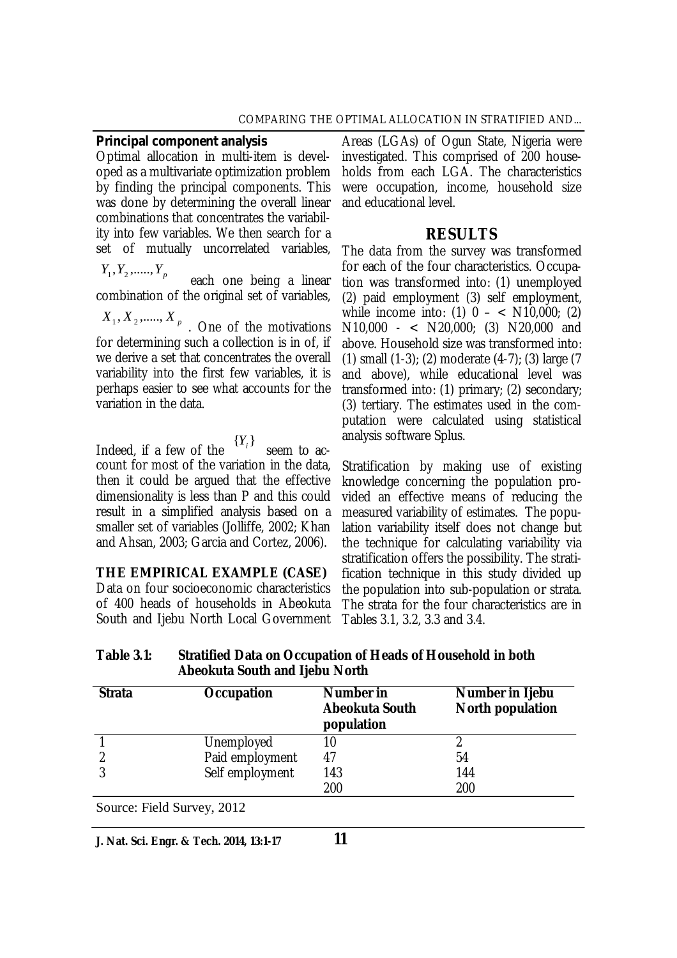#### *Principal component analysis*

Optimal allocation in multi-item is developed as a multivariate optimization problem by finding the principal components. This was done by determining the overall linear combinations that concentrates the variability into few variables. We then search for a set of mutually uncorrelated variables,

 $Y_1, Y_2, \ldots, Y_p$ 

 each one being a linear combination of the original set of variables,

. One of the motivations for determining such a collection is in of, if we derive a set that concentrates the overall variability into the first few variables, it is perhaps easier to see what accounts for the variation in the data.  $X_1, X_2, \ldots, X_p$ 

Indeed, if a few of the  ${Y_i}$  seem to account for most of the variation in the data, then it could be argued that the effective dimensionality is less than P and this could result in a simplified analysis based on a smaller set of variables (Jolliffe, 2002; Khan and Ahsan, 2003; Garcia and Cortez, 2006).

**THE EMPIRICAL EXAMPLE (CASE)** Data on four socioeconomic characteristics of 400 heads of households in Abeokuta South and Ijebu North Local Government

Areas (LGAs) of Ogun State, Nigeria were investigated. This comprised of 200 households from each LGA. The characteristics were occupation, income, household size and educational level.

# **RESULTS**

The data from the survey was transformed for each of the four characteristics. Occupation was transformed into: (1) unemployed (2) paid employment (3) self employment, while income into:  $(1)$  0 – < N10,000;  $(2)$ N10,000 - < N20,000; (3) N20,000 and above. Household size was transformed into: (1) small (1-3); (2) moderate (4-7); (3) large (7 and above), while educational level was transformed into: (1) primary; (2) secondary; (3) tertiary. The estimates used in the computation were calculated using statistical analysis software Splus.

Stratification by making use of existing knowledge concerning the population provided an effective means of reducing the measured variability of estimates. The population variability itself does not change but the technique for calculating variability via stratification offers the possibility. The stratification technique in this study divided up the population into sub-population or strata. The strata for the four characteristics are in Tables 3.1, 3.2, 3.3 and 3.4.

| Table 3.1: | Stratified Data on Occupation of Heads of Household in both |
|------------|-------------------------------------------------------------|
|            | Abeokuta South and Ijebu North                              |

| <b>Strata</b> | Occupation                 | <b>Number in</b><br>Abeokuta South<br>population | Number in Ijebu<br>North population |
|---------------|----------------------------|--------------------------------------------------|-------------------------------------|
|               | Unemployed                 | 10                                               |                                     |
|               | Paid employment            | 47                                               | 54                                  |
| 3             | Self employment            | 143                                              | 144                                 |
|               |                            | 200                                              | 200                                 |
|               | Source: Field Survey, 2012 |                                                  |                                     |

**J. Nat. Sci. Engr. & Tech. 2014, 13:1-17**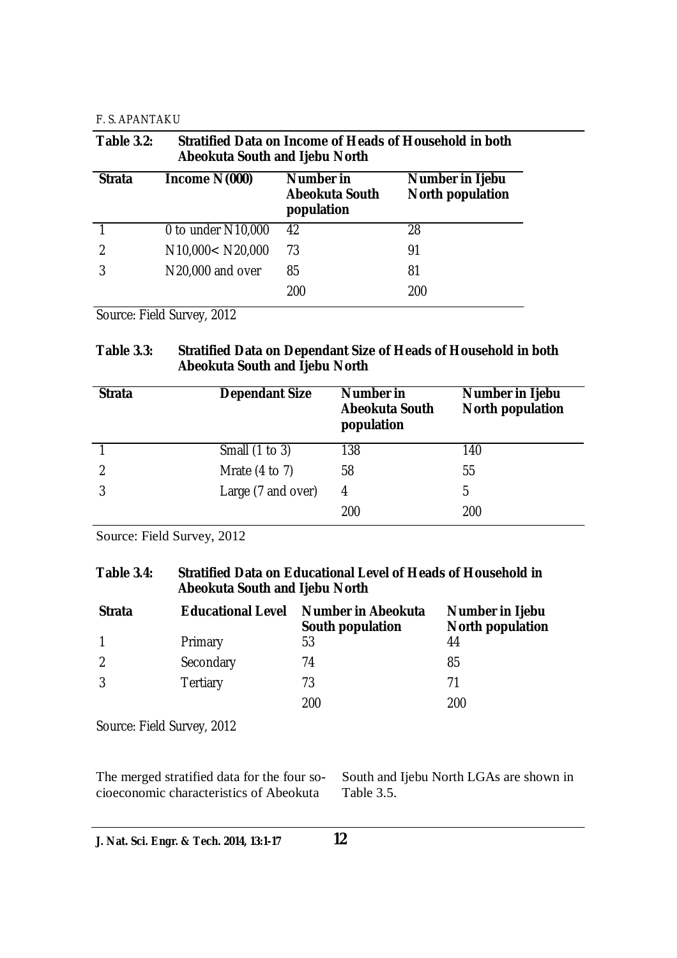| <b>Table 3.2:</b> | Stratified Data on Income of Heads of Household in both<br>Abeokuta South and Ijebu North |                                                  |                                            |  |  |
|-------------------|-------------------------------------------------------------------------------------------|--------------------------------------------------|--------------------------------------------|--|--|
| <b>Strata</b>     | Income N(000)                                                                             | <b>Number in</b><br>Abeokuta South<br>population | Number in Ijebu<br><b>North population</b> |  |  |
|                   | 0 to under N10,000                                                                        | 42                                               | 28                                         |  |  |
| $\mathcal{P}$     | N10,000< N20,000                                                                          | 73                                               | 91                                         |  |  |
|                   | N <sub>20</sub> ,000 and over                                                             | 85                                               | 81                                         |  |  |
|                   |                                                                                           | 200                                              | 200                                        |  |  |

Source: Field Survey, 2012

# **Table 3.3: Stratified Data on Dependant Size of Heads of Household in both Abeokuta South and Ijebu North**

| <b>Strata</b> | <b>Dependant Size</b>     | <b>Number in</b><br>Abeokuta South<br>population | Number in Ijebu<br>North population |
|---------------|---------------------------|--------------------------------------------------|-------------------------------------|
|               | Small $(1 to 3)$          | 138                                              | 140                                 |
|               | Mrate $(4 \text{ to } 7)$ | 58                                               | 55                                  |
|               | Large (7 and over)        | 4                                                | 5                                   |
|               |                           | 200                                              | 200                                 |

Source: Field Survey, 2012

## **Table 3.4: Stratified Data on Educational Level of Heads of Household in Abeokuta South and Ijebu North**

| <b>Strata</b>  | <b>Educational Level</b> | <b>Number in Abeokuta</b><br>South population | Number in Ijebu<br><b>North population</b> |
|----------------|--------------------------|-----------------------------------------------|--------------------------------------------|
| $\mathbf{1}$   | Primary                  | 53                                            | 44                                         |
| $\overline{2}$ | Secondary                | 74                                            | 85                                         |
| 3              | <b>Tertiary</b>          | 73                                            | 71                                         |
|                |                          | 200                                           | 200                                        |

Source: Field Survey, 2012

The merged stratified data for the four socioeconomic characteristics of Abeokuta

South and Ijebu North LGAs are shown in Table 3.5.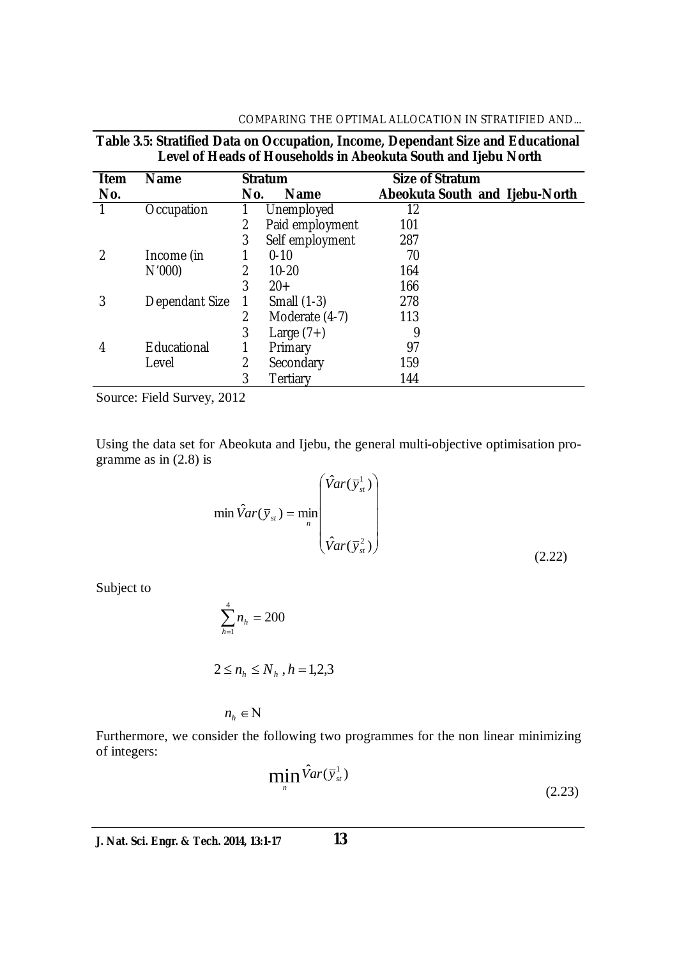#### COMPARING THE OPTIMAL ALLOCATION IN STRATIFIED AND...

| <b>Item</b> | <b>Name</b>    |                | <b>Stratum</b>  | <b>Size of Stratum</b>         |  |
|-------------|----------------|----------------|-----------------|--------------------------------|--|
| No.         |                | No.            | <b>Name</b>     | Abeokuta South and Ijebu-North |  |
|             | Occupation     |                | Unemployed      | 12                             |  |
|             |                | 2              | Paid employment | 101                            |  |
|             |                | 3              | Self employment | 287                            |  |
| 2           | Income (in     |                | $0 - 10$        | 70                             |  |
|             | N'000          | $\overline{2}$ | $10 - 20$       | 164                            |  |
|             |                | 3              | $20+$           | 166                            |  |
| 3           | Dependant Size |                | Small (1-3)     | 278                            |  |
|             |                | 2              | Moderate (4-7)  | 113                            |  |
|             |                | 3              | Large $(7+)$    | 9                              |  |
| 4           | Educational    |                | Primary         | 97                             |  |
|             | Level          | 2              | Secondary       | 159                            |  |
|             |                | 3              | Tertiary        | 144                            |  |

**Table 3.5: Stratified Data on Occupation, Income, Dependant Size and Educational Level of Heads of Households in Abeokuta South and Ijebu North**

Source: Field Survey, 2012

Using the data set for Abeokuta and Ijebu, the general multi-objective optimisation programme as in  $(2.8)$  is

$$
\min \hat{Var}(\bar{y}_{st}) = \min_{n} \begin{pmatrix} \hat{Var}(\bar{y}_{st}^{1}) \\ \vdots \\ \hat{Var}(\bar{y}_{st}^{2}) \end{pmatrix}
$$
\n(2.22)

Subject to

$$
\sum_{h=1}^{4} n_h = 200
$$
  

$$
2 \le n_h \le N_h, h = 1,2,3
$$

 $n_h \in N$ 

Furthermore, we consider the following two programmes for the non linear minimizing of integers:

$$
\min_{n} \hat{Var}(\bar{y}_s^1) \tag{2.23}
$$

**J. Nat. Sci. Engr. & Tech. 2014, 13:1-17**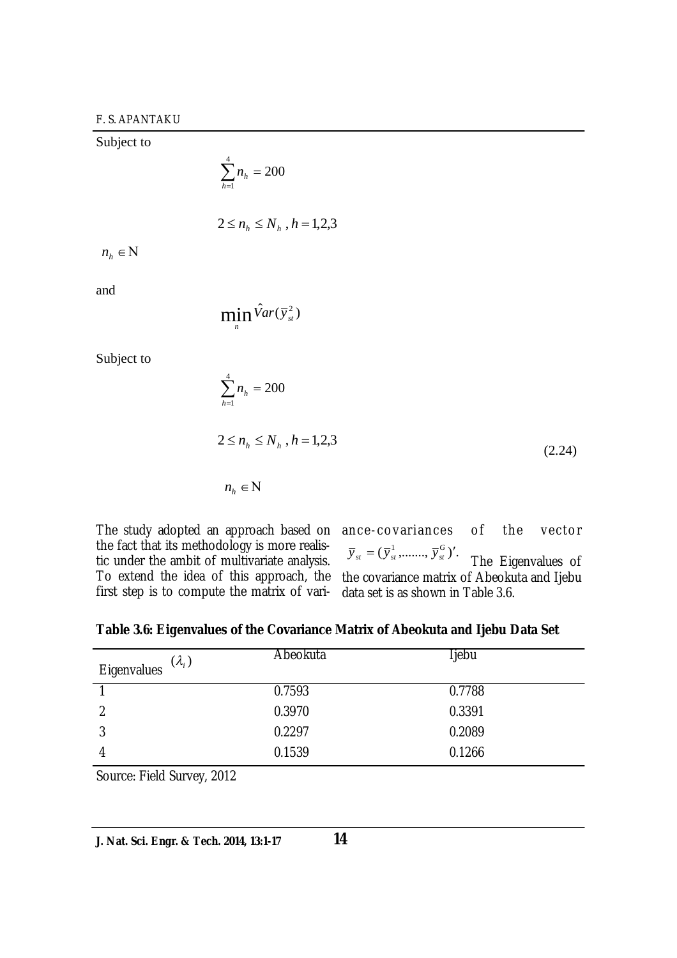Subject to

$$
\sum_{h=1}^{4} n_h = 200
$$

$$
2 \le n_h \le N_h, h = 1,2,3
$$

 $n_h \in \mathbb{N}$ 

and

$$
\min_{n}\hat{Var}(\bar{y}_{st}^2)
$$

Subject to

$$
\sum_{h=1}^{4} n_h = 200
$$
  

$$
2 \le n_h \le N_h, h = 1, 2, 3
$$
  

$$
n_h \in N
$$
 (2.24)

The study adopted an approach based on the fact that its methodology is more realistic under the ambit of multivariate analysis. To extend the idea of this approach, the first step is to compute the matrix of vari-data set is as shown in Table 3.6.

ance- covariances of the vector The Eigenvalues of the covariance matrix of Abeokuta and Ijebu  $\overline{y}_{st} = (\overline{y}_{st}^1, \dots, \overline{y}_{st}^G)'$ . 1  $\qquad \qquad \frac{\cdot}{\cdot \cdot}G$ 

| Table 3.6: Eigenvalues of the Covariance Matrix of Abeokuta and Ijebu Data Set |  |  |
|--------------------------------------------------------------------------------|--|--|
|                                                                                |  |  |

| $(\lambda_i)$<br>Eigenvalues | Abeokuta | Ijebu  |
|------------------------------|----------|--------|
|                              | 0.7593   | 0.7788 |
| 2                            | 0.3970   | 0.3391 |
| 3                            | 0.2297   | 0.2089 |
| 4                            | 0.1539   | 0.1266 |

Source: Field Survey, 2012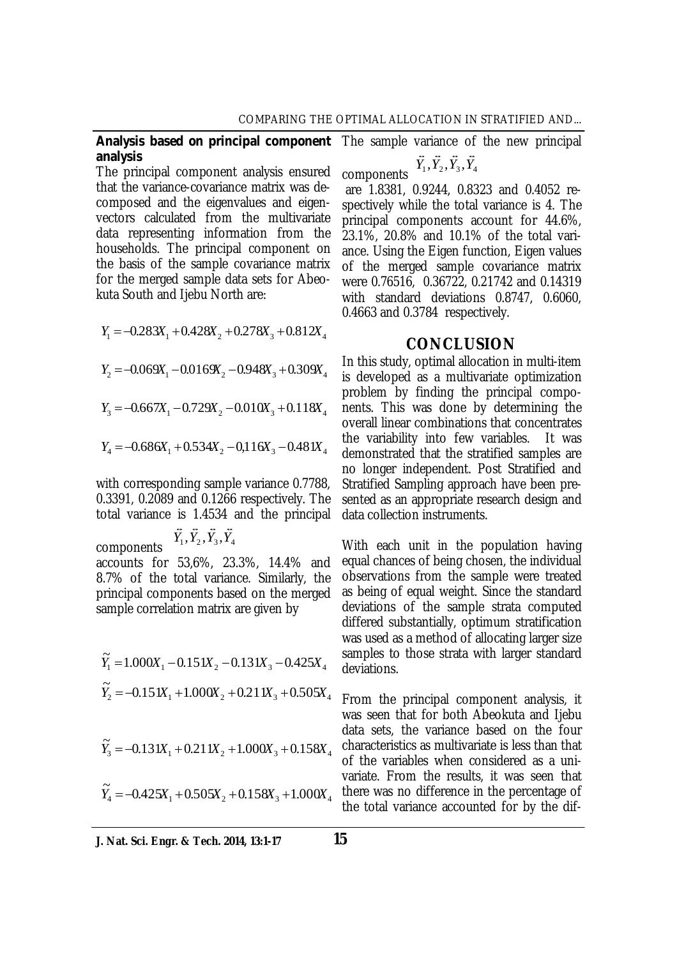0.4663 and 0.3784 respectively.

#### *Analysis based on principal component*  The sample variance of the new principal *analysis* components

The principal component analysis ensured that the variance-covariance matrix was decomposed and the eigenvalues and eigenvectors calculated from the multivariate data representing information from the households. The principal component on the basis of the sample covariance matrix for the merged sample data sets for Abeokuta South and Ijebu North are:

 $Y_1 = -0.283X_1 + 0.428X_2 + 0.278X_3 + 0.812X_4$ 

 $Y_2 = -0.069X_1 - 0.0169X_2 - 0.948X_3 + 0.309X_4$ 

 $Y_3 = -0.667X_1 - 0.729X_2 - 0.010X_3 + 0.118X_4$ 

 $Y_4 = -0.686X_1 + 0.534X_2 - 0.116X_3 - 0.481X_4$ 

with corresponding sample variance 0.7788, 0.3391, 0.2089 and 0.1266 respectively. The total variance is 1.4534 and the principal  $\frac{1}{2}$ 

components accounts for 53,6%, 23.3%, 14.4% and 8.7% of the total variance. Similarly, the principal components based on the merged sample correlation matrix are given by  $Y_1, Y_2, Y_3, Y_4$ 

$$
\widetilde{Y}_1 = 1.000X_1 - 0.151X_2 - 0.131X_3 - 0.425X_4
$$

$$
\widetilde{Y}_2 = -0.15 \, \text{1X}_1 + 1.000 \text{X}_2 + 0.21 \, \text{1X}_3 + 0.505 \text{X}_4
$$

$$
\widetilde{Y}_3 = -0.131X_1 + 0.211X_2 + 1.000X_3 + 0.158X_4
$$

$$
\widetilde{Y}_4 = -0.425X_1 + 0.505X_2 + 0.158X_3 + 1.000X_4
$$

**CONCLUSION** In this study, optimal allocation in multi-item is developed as a multivariate optimization problem by finding the principal components. This was done by determining the overall linear combinations that concentrates the variability into few variables. It was demonstrated that the stratified samples are no longer independent. Post Stratified and Stratified Sampling approach have been presented as an appropriate research design and data collection instruments.

are 1.8381, 0.9244, 0.8323 and 0.4052 respectively while the total variance is 4. The principal components account for 44.6%, 23.1%, 20.8% and 10.1% of the total variance. Using the Eigen function, Eigen values of the merged sample covariance matrix were 0.76516, 0.36722, 0.21742 and 0.14319 with standard deviations 0.8747, 0.6060,

 $Y_1, Y_2, Y_3, Y_4$  $\frac{1}{2}$ 

With each unit in the population having equal chances of being chosen, the individual observations from the sample were treated as being of equal weight. Since the standard deviations of the sample strata computed differed substantially, optimum stratification was used as a method of allocating larger size samples to those strata with larger standard deviations.

From the principal component analysis, it was seen that for both Abeokuta and Ijebu data sets, the variance based on the four characteristics as multivariate is less than that of the variables when considered as a univariate. From the results, it was seen that there was no difference in the percentage of the total variance accounted for by the dif-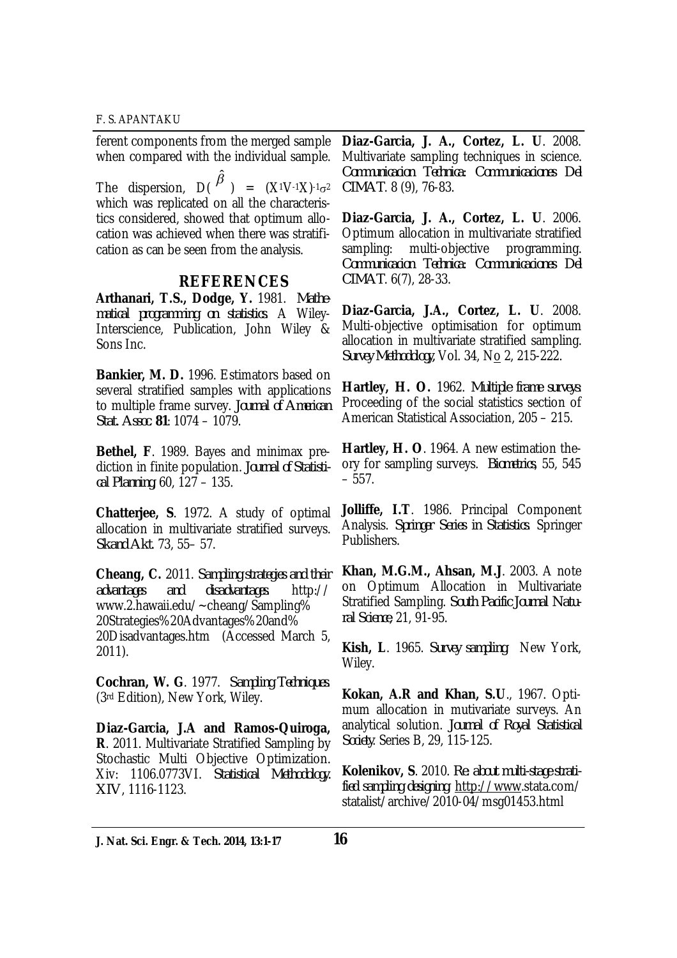when compared with the individual sample. The dispersion, D(  $\hat{\beta}$  ) = (X1V·1X)·1 $\sigma^2$ which was replicated on all the characteristics considered, showed that optimum allocation was achieved when there was stratification as can be seen from the analysis.

ferent components from the merged sample

# **REFERENCES**

**Arthanari, T.S., Dodge, Y.** 1981. *Mathematical programming on statistics*. A Wiley-Interscience, Publication, John Wiley & Sons Inc.

**Bankier, M. D.** 1996. Estimators based on several stratified samples with applications to multiple frame survey. *Journal of American Stat. Assoc*. **81**: 1074 – 1079.

**Bethel, F**. 1989. Bayes and minimax prediction in finite population. *Journal of Statistical Planning*, 60, 127 – 135.

**Chatterjee, S**. 1972. A study of optimal allocation in multivariate stratified surveys. *Skand Akt*. 73, 55– 57.

**Cheang, C.** 2011. *Sampling strategies and their advantages and disadvantages*. http:// www.2.hawaii.edu/~cheang/Sampling% 20Strategies%20Advantages%20and% 20Disadvantages.htm (Accessed March 5, 2011).

**Cochran, W. G**. 1977. *Sampling Techniques*. (3rd Edition), New York, Wiley.

**Diaz-Garcia, J.A and Ramos-Quiroga, R**. 2011. Multivariate Stratified Sampling by Stochastic Multi Objective Optimization. Xiv: 1106.0773VI. *Statistical Methodology. XIV*, 1116-1123.

**Diaz-Garcia, J. A., Cortez, L. U**. 2008. Multivariate sampling techniques in science. *Communicacion Technica: Communicaciones Del CIMAT*. 8 (9), 76-83.

**Diaz-Garcia, J. A., Cortez, L. U**. 2006. Optimum allocation in multivariate stratified sampling: multi-objective programming. *Communicacion Technica: Communicaciones Del CIMAT*. 6(7), 28-33.

**Diaz-Garcia, J.A., Cortez, L. U**. 2008. Multi-objective optimisation for optimum allocation in multivariate stratified sampling. *Survey Methodology,* Vol. 34, No 2, 215-222.

**Hartley, H. O.** 1962. *Multiple frame surveys*: Proceeding of the social statistics section of American Statistical Association, 205 – 215.

**Hartley, H. O**. 1964. A new estimation theory for sampling surveys. *Biometrics*, 55, 545 – 557.

**Jolliffe, I.T**. 1986. Principal Component Analysis. *Springer Series in Statistics*. Springer Publishers.

**Khan, M.G.M., Ahsan, M.J**. 2003. A note on Optimum Allocation in Multivariate Stratified Sampling. *South Pacific Journal Natural Science*, 21, 91-95.

**Kish, L**. 1965. *Survey sampling*. New York, Wiley.

**Kokan, A.R and Khan, S.U**., 1967. Optimum allocation in mutivariate surveys. An analytical solution. *Journal of Royal Statistical Society*. Series B, 29, 115-125.

**Kolenikov, S**. 2010. *Re: about multi-stage stratified sampling designing*. http://www.stata.com/ statalist/archive/2010-04/msg01453.html